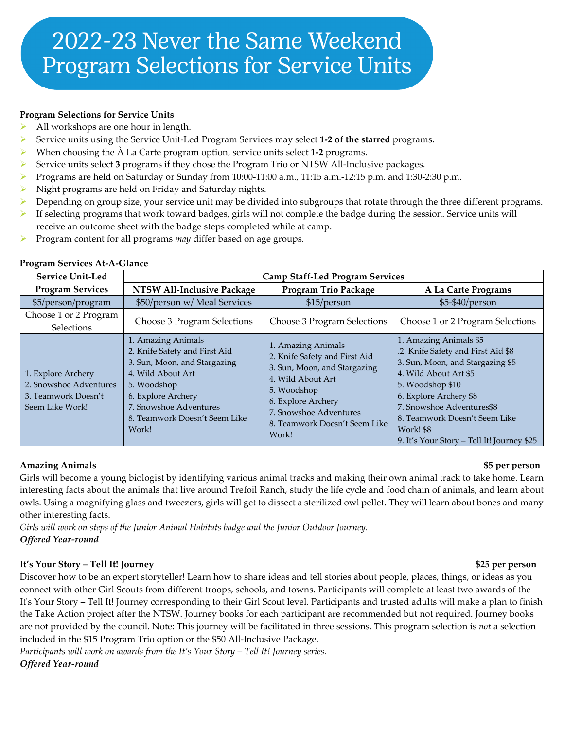## **Program Selections for Service Units**

- All workshops are one hour in length.
- Service units using the Service Unit-Led Program Services may select **1-2 of the starred** programs.
- When choosing the À La Carte program option, service units select **1-2** programs.
- Service units select **3** programs if they chose the Program Trio or NTSW All-Inclusive packages.
- Programs are held on Saturday or Sunday from  $10:00-11:00$  a.m.,  $11:15$  a.m.  $-12:15$  p.m. and  $1:30-2:30$  p.m.
- $\triangleright$  Night programs are held on Friday and Saturday nights.
- $\triangleright$  Depending on group size, your service unit may be divided into subgroups that rotate through the three different programs.
- If selecting programs that work toward badges, girls will not complete the badge during the session. Service units will receive an outcome sheet with the badge steps completed while at camp.
- **Program content for all programs** *may* differ based on age groups.

| <b>Service Unit-Led</b>                                                                | <b>Camp Staff-Led Program Services</b>                                                                                                                                                                            |                                                                                                                                                                                                                   |                                                                                                                                                                                                                                                                                                         |
|----------------------------------------------------------------------------------------|-------------------------------------------------------------------------------------------------------------------------------------------------------------------------------------------------------------------|-------------------------------------------------------------------------------------------------------------------------------------------------------------------------------------------------------------------|---------------------------------------------------------------------------------------------------------------------------------------------------------------------------------------------------------------------------------------------------------------------------------------------------------|
| <b>Program Services</b>                                                                | NTSW All-Inclusive Package                                                                                                                                                                                        | <b>Program Trio Package</b>                                                                                                                                                                                       | A La Carte Programs                                                                                                                                                                                                                                                                                     |
| \$5/person/program                                                                     | \$50/person w/ Meal Services                                                                                                                                                                                      | \$15/person                                                                                                                                                                                                       | \$5-\$40/person                                                                                                                                                                                                                                                                                         |
| Choose 1 or 2 Program<br>Selections                                                    | Choose 3 Program Selections                                                                                                                                                                                       | Choose 3 Program Selections                                                                                                                                                                                       | Choose 1 or 2 Program Selections                                                                                                                                                                                                                                                                        |
| 1. Explore Archery<br>2. Snowshoe Adventures<br>3. Teamwork Doesn't<br>Seem Like Work! | 1. Amazing Animals<br>2. Knife Safety and First Aid<br>3. Sun, Moon, and Stargazing<br>4. Wild About Art<br>5. Woodshop<br>6. Explore Archery<br>7. Snowshoe Adventures<br>8. Teamwork Doesn't Seem Like<br>Work! | 1. Amazing Animals<br>2. Knife Safety and First Aid<br>3. Sun, Moon, and Stargazing<br>4. Wild About Art<br>5. Woodshop<br>6. Explore Archery<br>7. Snowshoe Adventures<br>8. Teamwork Doesn't Seem Like<br>Work! | 1. Amazing Animals \$5<br>.2. Knife Safety and First Aid \$8<br>3. Sun, Moon, and Stargazing \$5<br>4. Wild About Art \$5<br>5. Woodshop \$10<br>6. Explore Archery \$8<br>7. Snowshoe Adventures\$8<br>8. Teamwork Doesn't Seem Like<br><b>Work! \$8</b><br>9. It's Your Story – Tell It! Journey \$25 |

#### **Program Services At-A-Glance**

#### **Amazing Animals \$5 per person**

Girls will become a young biologist by identifying various animal tracks and making their own animal track to take home. Learn interesting facts about the animals that live around Trefoil Ranch, study the life cycle and food chain of animals, and learn about owls. Using a magnifying glass and tweezers, girls will get to dissect a sterilized owl pellet. They will learn about bones and many other interesting facts.

*Girls will work on steps of the Junior Animal Habitats badge and the Junior Outdoor Journey. Offered Year-round*

## **It's Your Story – Tell It! Journey \$25 per person**

Discover how to be an expert storyteller! Learn how to share ideas and tell stories about people, places, things, or ideas as you connect with other Girl Scouts from different troops, schools, and towns. Participants will complete at least two awards of the It's Your Story – Tell It! Journey corresponding to their Girl Scout level. Participants and trusted adults will make a plan to finish the Take Action project after the NTSW. Journey books for each participant are recommended but not required. Journey books are not provided by the council. Note: This journey will be facilitated in three sessions. This program selection is *not* a selection included in the \$15 Program Trio option or the \$50 All-Inclusive Package.

*Participants will work on awards from the It's Your Story – Tell It! Journey series. Offered Year-round*